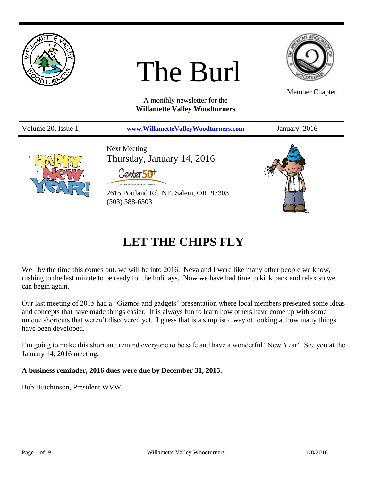

## **LET THE CHIPS FLY**

Well by the time this comes out, we will be into 2016. Neva and I were like many other people we know, rushing to the last minute to be ready for the holidays. Now we have had time to kick back and relax so we can begin again.

Our last meeting of 2015 had a "Gizmos and gadgets" presentation where local members presented some ideas and concepts that have made things easier. It is always fun to learn how others have come up with some unique shortcuts that weren't discovered yet. I guess that is a simplistic way of looking at how many things have been developed.

I'm going to make this short and remind everyone to be safe and have a wonderful "New Year". See you at the January 14, 2016 meeting.

**A business reminder, 2016 dues were due by December 31, 2015.**

Bob Hutchinson, President WVW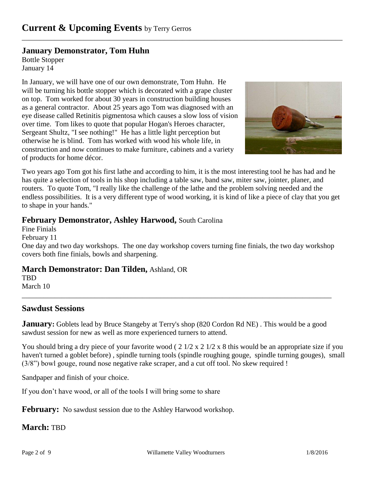## **January Demonstrator, Tom Huhn**

Bottle Stopper January 14

In January, we will have one of our own demonstrate, Tom Huhn. He will be turning his bottle stopper which is decorated with a grape cluster on top. Tom worked for about 30 years in construction building houses as a general contractor. About 25 years ago Tom was diagnosed with an eye disease called Retinitis pigmentosa which causes a slow loss of vision over time. Tom likes to quote that popular Hogan's Heroes character, Sergeant Shultz, "I see nothing!" He has a little light perception but otherwise he is blind. Tom has worked with wood his whole life, in construction and now continues to make furniture, cabinets and a variety of products for home décor.



Two years ago Tom got his first lathe and according to him, it is the most interesting tool he has had and he has quite a selection of tools in his shop including a table saw, band saw, miter saw, jointer, planer, and routers. To quote Tom, "I really like the challenge of the lathe and the problem solving needed and the endless possibilities. It is a very different type of wood working, it is kind of like a piece of clay that you get to shape in your hands."

\_\_\_\_\_\_\_\_\_\_\_\_\_\_\_\_\_\_\_\_\_\_\_\_\_\_\_\_\_\_\_\_\_\_\_\_\_\_\_\_\_\_\_\_\_\_\_\_\_\_\_\_\_\_\_\_\_\_\_\_\_\_\_\_\_\_\_\_\_\_\_\_\_\_\_\_\_\_\_\_\_\_\_\_\_\_\_\_

## **February Demonstrator, Ashley Harwood,** South Carolina

Fine Finials

February 11

One day and two day workshops. The one day workshop covers turning fine finials, the two day workshop covers both fine finials, bowls and sharpening.

**March Demonstrator: Dan Tilden,** Ashland, OR

**TBD** 

March 10 \_\_\_\_\_\_\_\_\_\_\_\_\_\_\_\_\_\_\_\_\_\_\_\_\_\_\_\_\_\_\_\_\_\_\_\_\_\_\_\_\_\_\_\_\_\_\_\_\_\_\_\_\_\_\_\_\_\_\_\_\_\_\_\_\_\_\_\_\_\_\_\_\_\_\_\_\_\_\_\_\_\_\_\_\_

## **Sawdust Sessions**

**January:** Goblets lead by Bruce Stangeby at Terry's shop (820 Cordon Rd NE). This would be a good sawdust session for new as well as more experienced turners to attend.

You should bring a dry piece of your favorite wood ( $2\frac{1}{2} \times 2\frac{1}{2} \times 8$  this would be an appropriate size if you haven't turned a goblet before) , spindle turning tools (spindle roughing gouge, spindle turning gouges), small (3/8") bowl gouge, round nose negative rake scraper, and a cut off tool. No skew required !

Sandpaper and finish of your choice.

If you don't have wood, or all of the tools I will bring some to share

**February:** No sawdust session due to the Ashley Harwood workshop.

**March:** TBD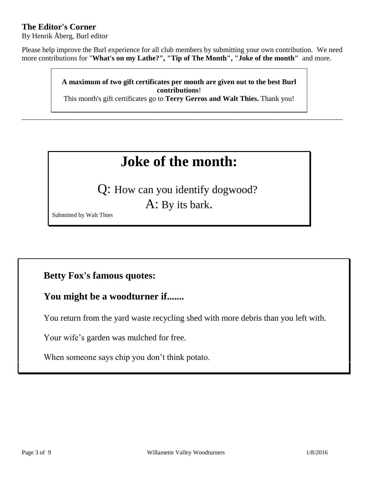## **The Editor's Corner**

By Henrik Åberg, Burl editor

Please help improve the Burl experience for all club members by submitting your own contribution. We need more contributions for "**What's on my Lathe?", "Tip of The Month", "Joke of the month"** and more.

> **A maximum of two gift certificates per month are given out to the best Burl contributions**!

> This month's gift certificates go to **Terry Gerros and Walt Thies.** Thank you!

\_\_\_\_\_\_\_\_\_\_\_\_\_\_\_\_\_\_\_\_\_\_\_\_\_\_\_\_\_\_\_\_\_\_\_\_\_\_\_\_\_\_\_\_\_\_\_\_\_\_\_\_\_\_\_\_\_\_\_\_\_\_\_\_\_\_\_\_\_\_\_\_\_\_\_\_\_\_\_\_\_\_\_\_\_\_\_\_

# **Joke of the month:**

Q: How can you identify dogwood?

A: By its bark.

Submitted by Walt Thies

## **Betty Fox's famous quotes:**

## **You might be a woodturner if.......**

You return from the yard waste recycling shed with more debris than you left with.

Your wife's garden was mulched for free.

When someone says chip you don't think potato.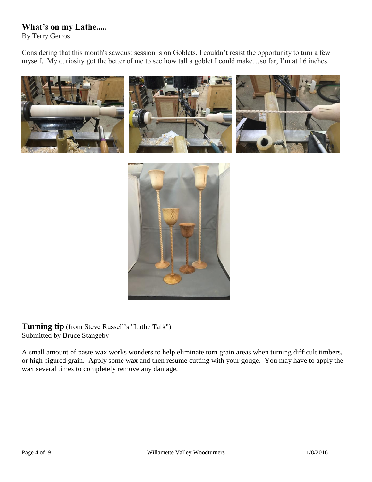## **What's on my Lathe.....**

By Terry Gerros

Considering that this month's sawdust session is on Goblets, I couldn't resist the opportunity to turn a few myself. My curiosity got the better of me to see how tall a goblet I could make…so far, I'm at 16 inches.



**Turning tip** (from Steve Russell's "Lathe Talk") Submitted by Bruce Stangeby

A small amount of paste wax works wonders to help eliminate torn grain areas when turning difficult timbers, or high-figured grain. Apply some wax and then resume cutting with your gouge. You may have to apply the wax several times to completely remove any damage.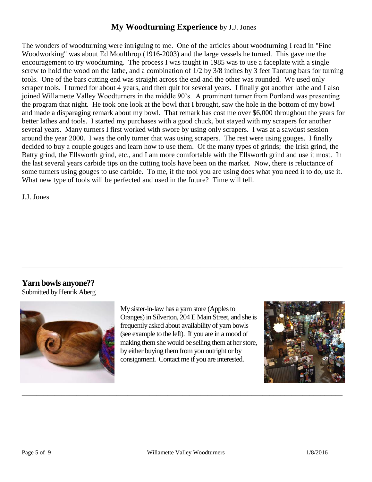### **My Woodturning Experience** by J.J. Jones

The wonders of woodturning were intriguing to me. One of the articles about woodturning I read in "Fine Woodworking" was about Ed Moulthrop (1916-2003) and the large vessels he turned. This gave me the encouragement to try woodturning. The process I was taught in 1985 was to use a faceplate with a single screw to hold the wood on the lathe, and a combination of 1/2 by 3/8 inches by 3 feet Tantung bars for turning tools. One of the bars cutting end was straight across the end and the other was rounded. We used only scraper tools. I turned for about 4 years, and then quit for several years. I finally got another lathe and I also joined Willamette Valley Woodturners in the middle 90's. A prominent turner from Portland was presenting the program that night. He took one look at the bowl that I brought, saw the hole in the bottom of my bowl and made a disparaging remark about my bowl. That remark has cost me over \$6,000 throughout the years for better lathes and tools. I started my purchases with a good chuck, but stayed with my scrapers for another several years. Many turners I first worked with swore by using only scrapers. I was at a sawdust session around the year 2000. I was the only turner that was using scrapers. The rest were using gouges. I finally decided to buy a couple gouges and learn how to use them. Of the many types of grinds; the Irish grind, the Batty grind, the Ellsworth grind, etc., and I am more comfortable with the Ellsworth grind and use it most. In the last several years carbide tips on the cutting tools have been on the market. Now, there is reluctance of some turners using gouges to use carbide. To me, if the tool you are using does what you need it to do, use it. What new type of tools will be perfected and used in the future? Time will tell.

J.J. Jones

#### **Yarn bowls anyone??**

Submitted by Henrik Aberg



My sister-in-law has a yarn store (Apples to Oranges) in Silverton, 204 E Main Street, and she is frequently asked about availability of yarn bowls (see example to the left). If you are in a mood of making them she would be selling them at her store, by either buying them from you outright or by consignment. Contact me if you are interested.

\_\_\_\_\_\_\_\_\_\_\_\_\_\_\_\_\_\_\_\_\_\_\_\_\_\_\_\_\_\_\_\_\_\_\_\_\_\_\_\_\_\_\_\_\_\_\_\_\_\_\_\_\_\_\_\_\_\_\_\_\_\_\_\_\_\_\_\_\_\_\_\_\_\_\_\_\_\_\_\_\_\_\_\_\_\_\_\_



\_\_\_\_\_\_\_\_\_\_\_\_\_\_\_\_\_\_\_\_\_\_\_\_\_\_\_\_\_\_\_\_\_\_\_\_\_\_\_\_\_\_\_\_\_\_\_\_\_\_\_\_\_\_\_\_\_\_\_\_\_\_\_\_\_\_\_\_\_\_\_\_\_\_\_\_\_\_\_\_\_\_\_\_\_\_\_\_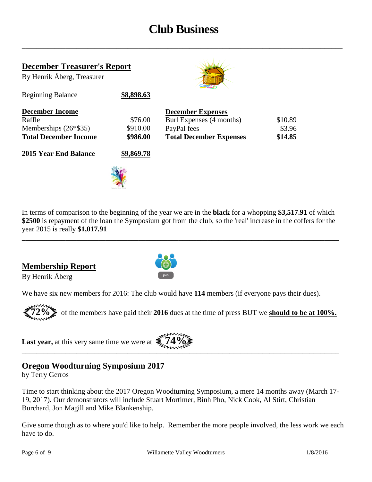## **Club Business**

\_\_\_\_\_\_\_\_\_\_\_\_\_\_\_\_\_\_\_\_\_\_\_\_\_\_\_\_\_\_\_\_\_\_\_\_\_\_\_\_\_\_\_\_\_\_\_\_\_\_\_\_\_\_\_\_\_\_\_\_\_\_\_\_\_\_\_\_\_\_\_\_\_\_\_\_\_\_\_\_\_\_\_\_\_\_\_\_

| <b>December Treasurer's Report</b> |            |                                |         |  |
|------------------------------------|------------|--------------------------------|---------|--|
| By Henrik Åberg, Treasurer         |            |                                |         |  |
| <b>Beginning Balance</b>           | \$8,898.63 |                                |         |  |
| <b>December Income</b>             |            | <b>December Expenses</b>       |         |  |
| Raffle                             | \$76.00    | Burl Expenses (4 months)       | \$10.89 |  |
| Memberships $(26*\$35)$            | \$910.00   | PayPal fees                    | \$3.96  |  |
| <b>Total December Income</b>       | \$986.00   | <b>Total December Expenses</b> | \$14.85 |  |
| <b>2015 Year End Balance</b>       | \$9,869.78 |                                |         |  |
|                                    |            |                                |         |  |

In terms of comparison to the beginning of the year we are in the **black** for a whopping **\$3,517.91** of which **\$2500** is repayment of the loan the Symposium got from the club, so the 'real' increase in the coffers for the year 2015 is really **\$1,017.91**

\_\_\_\_\_\_\_\_\_\_\_\_\_\_\_\_\_\_\_\_\_\_\_\_\_\_\_\_\_\_\_\_\_\_\_\_\_\_\_\_\_\_\_\_\_\_\_\_\_\_\_\_\_\_\_\_\_\_\_\_\_\_\_\_\_\_\_\_\_\_\_\_\_\_\_\_\_\_\_\_\_\_\_\_\_\_\_

## **Membership Report**

By Henrik Åberg



We have six new members for 2016: The club would have **114** members (if everyone pays their dues).

**72%** of the members have paid their **2016** dues at the time of press BUT we **should to be at 100%.**

**Last year,** at this very same time we were at  $\sum_{n=1}^{\infty} 4\frac{1}{2} 4\frac{1}{2}$ 



## **Oregon Woodturning Symposium 2017**

by Terry Gerros

Time to start thinking about the 2017 Oregon Woodturning Symposium, a mere 14 months away (March 17- 19, 2017). Our demonstrators will include Stuart Mortimer, Binh Pho, Nick Cook, Al Stirt, Christian Burchard, Jon Magill and Mike Blankenship.

Give some though as to where you'd like to help. Remember the more people involved, the less work we each have to do.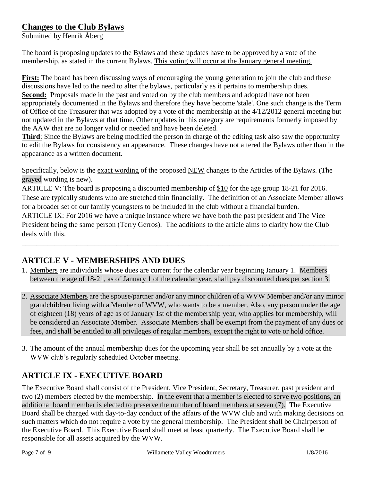## **Changes to the Club Bylaws**

Submitted by Henrik Åberg

The board is proposing updates to the Bylaws and these updates have to be approved by a vote of the membership, as stated in the current Bylaws. This voting will occur at the January general meeting.

**First:** The board has been discussing ways of encouraging the young generation to join the club and these discussions have led to the need to alter the bylaws, particularly as it pertains to membership dues. **Second:** Proposals made in the past and voted on by the club members and adopted have not been appropriately documented in the Bylaws and therefore they have become 'stale'. One such change is the Term of Office of the Treasurer that was adopted by a vote of the membership at the 4/12/2012 general meeting but not updated in the Bylaws at that time. Other updates in this category are requirements formerly imposed by the AAW that are no longer valid or needed and have been deleted.

**Third**: Since the Bylaws are being modified the person in charge of the editing task also saw the opportunity to edit the Bylaws for consistency an appearance. These changes have not altered the Bylaws other than in the appearance as a written document.

Specifically, below is the exact wording of the proposed NEW changes to the Articles of the Bylaws. (The grayed wording is new).

ARTICLE V: The board is proposing a discounted membership of \$10 for the age group 18-21 for 2016. These are typically students who are stretched thin financially. The definition of an Associate Member allows for a broader set of our family youngsters to be included in the club without a financial burden. ARTICLE IX: For 2016 we have a unique instance where we have both the past president and The Vice President being the same person (Terry Gerros). The additions to the article aims to clarify how the Club deals with this.

## **ARTICLE V - MEMBERSHIPS AND DUES**

1. Members are individuals whose dues are current for the calendar year beginning January 1. Members between the age of 18-21, as of January 1 of the calendar year, shall pay discounted dues per section 3.

\_\_\_\_\_\_\_\_\_\_\_\_\_\_\_\_\_\_\_\_\_\_\_\_\_\_\_\_\_\_\_\_\_\_\_\_\_\_\_\_\_\_\_\_\_\_\_\_\_\_\_\_\_\_\_\_\_\_\_\_\_\_\_\_\_\_\_\_\_\_\_\_\_\_\_\_\_\_\_\_\_\_\_\_\_\_\_

- 2. Associate Members are the spouse/partner and/or any minor children of a WVW Member and/or any minor grandchildren living with a Member of WVW, who wants to be a member. Also, any person under the age of eighteen (18) years of age as of January 1st of the membership year, who applies for membership, will be considered an Associate Member. Associate Members shall be exempt from the payment of any dues or fees, and shall be entitled to all privileges of regular members, except the right to vote or hold office.
- 3. The amount of the annual membership dues for the upcoming year shall be set annually by a vote at the WVW club's regularly scheduled October meeting.

## **ARTICLE IX - EXECUTIVE BOARD**

The Executive Board shall consist of the President, Vice President, Secretary, Treasurer, past president and two (2) members elected by the membership. In the event that a member is elected to serve two positions, an additional board member is elected to preserve the number of board members at seven (7). The Executive Board shall be charged with day-to-day conduct of the affairs of the WVW club and with making decisions on such matters which do not require a vote by the general membership. The President shall be Chairperson of the Executive Board. This Executive Board shall meet at least quarterly. The Executive Board shall be responsible for all assets acquired by the WVW.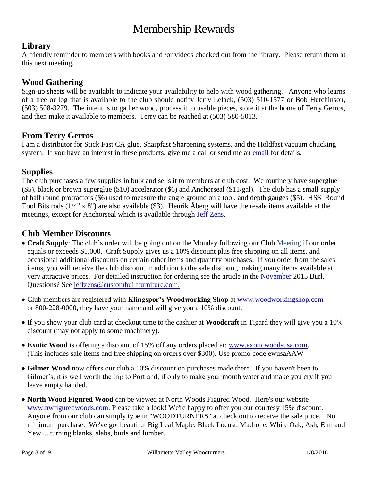## Membership Rewards

## **Library**

A friendly reminder to members with books and /or videos checked out from the library. Please return them at this next meeting.

### **Wood Gathering**

Sign-up sheets will be available to indicate your availability to help with wood gathering. Anyone who learns of a tree or log that is available to the club should notify Jerry Lelack, (503) 510-1577 or Bob Hutchinson, (503) 508-3279. The intent is to gather wood, process it to usable pieces, store it at the home of Terry Gerros, and then make it available to members. Terry can be reached at (503) 580-5013.

#### **From Terry Gerros**

I am a distributor for Stick Fast CA glue, Sharpfast Sharpening systems, and the Holdfast vacuum chucking system. If you have an interest in these products, give me a call or send me an [email](mailto:gerrost@yahoo.com) for details.

### **Supplies**

The club purchases a few supplies in bulk and sells it to members at club cost. We routinely have superglue (\$5), black or brown superglue (\$10) accelerator (\$6) and Anchorseal (\$11/gal). The club has a small supply of half round protractors (\$6) used to measure the angle ground on a tool, and depth gauges (\$5). HSS Round Tool Bits rods (1/4" x 8") are also available (\$3). Henrik Åberg will have the resale items available at the meetings, except for Anchorseal which is available through [Jeff Zens.](mailto:jszens@custombuiltfurniture.com)

## **Club Member Discounts**

- **Craft Supply**: The club's order will be going out on the Monday following our Club Meeting if our order equals or exceeds \$1,000. Craft Supply gives us a 10% discount plus free shipping on all items, and occasional additional discounts on certain other items and quantity purchases. If you order from the sales items, you will receive the club discount in addition to the sale discount, making many items available at very attractive prices. For detailed instruction for ordering see the article in the [November](http://www.willamettevalleywoodturners.com/newsletters/2015_11_WVW_Newsletter.pdf) 2015 Burl. Questions? See [jeffzens@custombuiltfurniture.com.](mailto:jeffzens@custombuiltfurniture.com.)
- Club members are registered with **Klingspor's Woodworking Shop** at [www.woodworkingshop.com](http://www.woodworkingshop.com/)  or 800-228-0000, they have your name and will give you a 10% discount.
- If you show your club card at checkout time to the cashier at **Woodcraft** in Tigard they will give you a 10% discount (may not apply to some machinery).
- **Exotic Wood** is offering a discount of 15% off any orders placed at: [www.exoticwoodsusa.com.](http://www.exoticwoodsusa.com/) (This includes sale items and free shipping on orders over \$300). Use promo code ewusaAAW
- **Gilmer Wood** now offers our club a 10% discount on purchases made there. If you haven't been to Gilmer's, it is well worth the trip to Portland, if only to make your mouth water and make you cry if you leave empty handed.
- **North Wood Figured Wood** can be viewed at North Woods Figured Wood. Here's our website [www.nwfiguredwoods.com.](http://www.nwfiguredwoods.com/) Please take a look! We're happy to offer you our courtesy 15% discount. Anyone from our club can simply type in "WOODTURNERS" at check out to receive the sale price. No minimum purchase. We've got beautiful Big Leaf Maple, Black Locust, Madrone, White Oak, Ash, Elm and Yew.....turning blanks, slabs, burls and lumber.